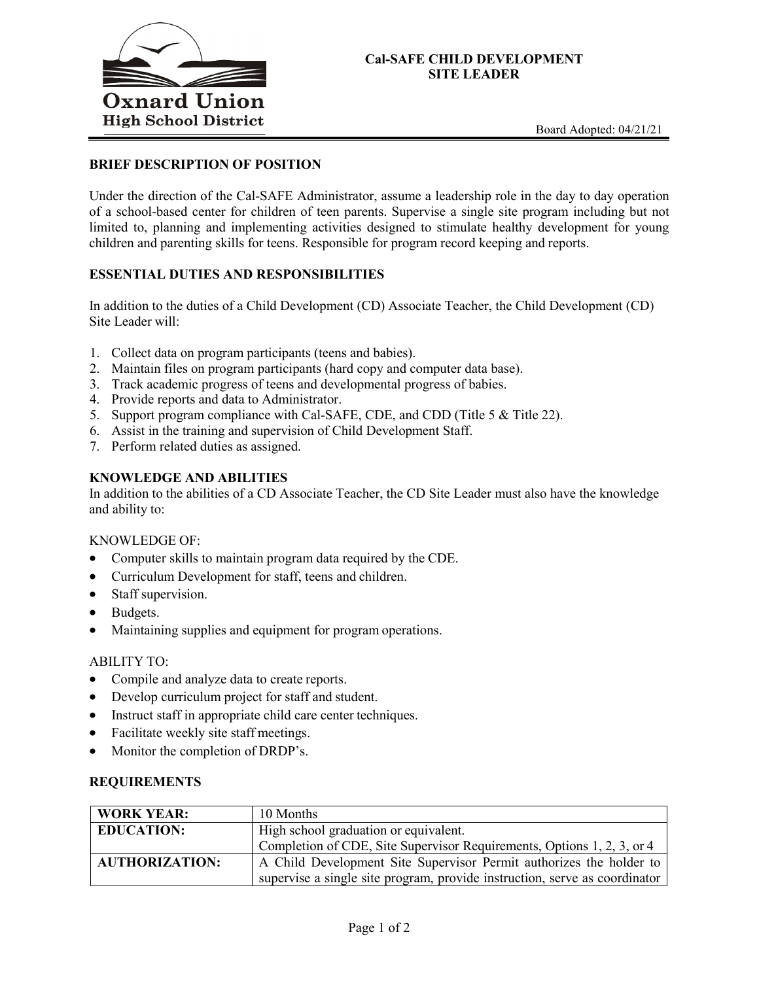

## **Cal-SAFE CHILD DEVELOPMENT SITE LEADER**

## **BRIEF DESCRIPTION OF POSITION**

Under the direction of the Cal-SAFE Administrator, assume a leadership role in the day to day operation of a school-based center for children of teen parents. Supervise a single site program including but not limited to, planning and implementing activities designed to stimulate healthy development for young children and parenting skills for teens. Responsible for program record keeping and reports.

## **ESSENTIAL DUTIES AND RESPONSIBILITIES**

In addition to the duties of a Child Development (CD) Associate Teacher, the Child Development (CD) Site Leader will:

- 1. Collect data on program participants (teens and babies).
- 2. Maintain files on program participants (hard copy and computer data base).
- 3. Track academic progress of teens and developmental progress of babies.
- 4. Provide reports and data to Administrator.
- 5. Support program compliance with Cal-SAFE, CDE, and CDD (Title 5 & Title 22).
- 6. Assist in the training and supervision of Child Development Staff.
- 7. Perform related duties as assigned.

### **KNOWLEDGE AND ABILITIES**

In addition to the abilities of a CD Associate Teacher, the CD Site Leader must also have the knowledge and ability to:

#### KNOWLEDGE OF:

- Computer skills to maintain program data required by the CDE.
- Curriculum Development for staff, teens and children.
- Staff supervision.
- Budgets.
- Maintaining supplies and equipment for program operations.

#### ABILITY TO:

- Compile and analyze data to create reports.
- Develop curriculum project for staff and student.
- Instruct staff in appropriate child care center techniques.
- Facilitate weekly site staff meetings.
- Monitor the completion of DRDP's.

#### **REQUIREMENTS**

| <b>WORK YEAR:</b>     | 10 Months                                                                  |
|-----------------------|----------------------------------------------------------------------------|
| <b>EDUCATION:</b>     | High school graduation or equivalent.                                      |
|                       | Completion of CDE, Site Supervisor Requirements, Options 1, 2, 3, or 4     |
| <b>AUTHORIZATION:</b> | A Child Development Site Supervisor Permit authorizes the holder to        |
|                       | supervise a single site program, provide instruction, serve as coordinator |